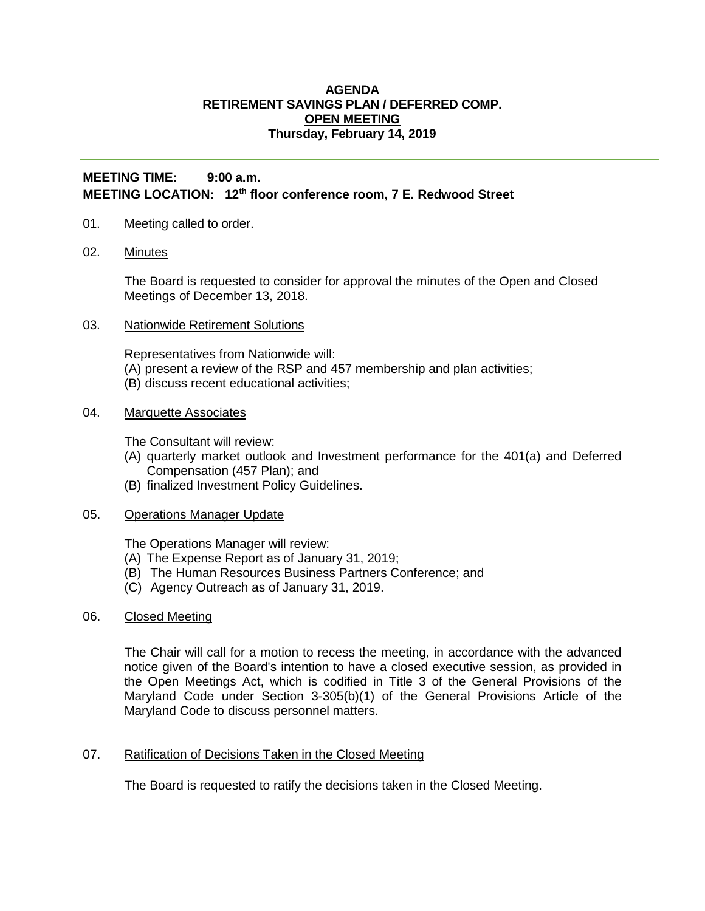### **AGENDA RETIREMENT SAVINGS PLAN / DEFERRED COMP. OPEN MEETING Thursday, February 14, 2019**

# **MEETING TIME: 9:00 a.m. MEETING LOCATION: 12th floor conference room, 7 E. Redwood Street**

- 01. Meeting called to order.
- 02. Minutes

The Board is requested to consider for approval the minutes of the Open and Closed Meetings of December 13, 2018.

03. Nationwide Retirement Solutions

Representatives from Nationwide will: (A) present a review of the RSP and 457 membership and plan activities; (B) discuss recent educational activities;

## 04. Marquette Associates

The Consultant will review:

- (A) quarterly market outlook and Investment performance for the 401(a) and Deferred Compensation (457 Plan); and
- (B) finalized Investment Policy Guidelines.

#### 05. Operations Manager Update

The Operations Manager will review:

- (A) The Expense Report as of January 31, 2019;
- (B) The Human Resources Business Partners Conference; and
- (C) Agency Outreach as of January 31, 2019.

### 06. Closed Meeting

The Chair will call for a motion to recess the meeting, in accordance with the advanced notice given of the Board's intention to have a closed executive session, as provided in the Open Meetings Act, which is codified in Title 3 of the General Provisions of the Maryland Code under Section 3-305(b)(1) of the General Provisions Article of the Maryland Code to discuss personnel matters.

07. Ratification of Decisions Taken in the Closed Meeting

The Board is requested to ratify the decisions taken in the Closed Meeting.